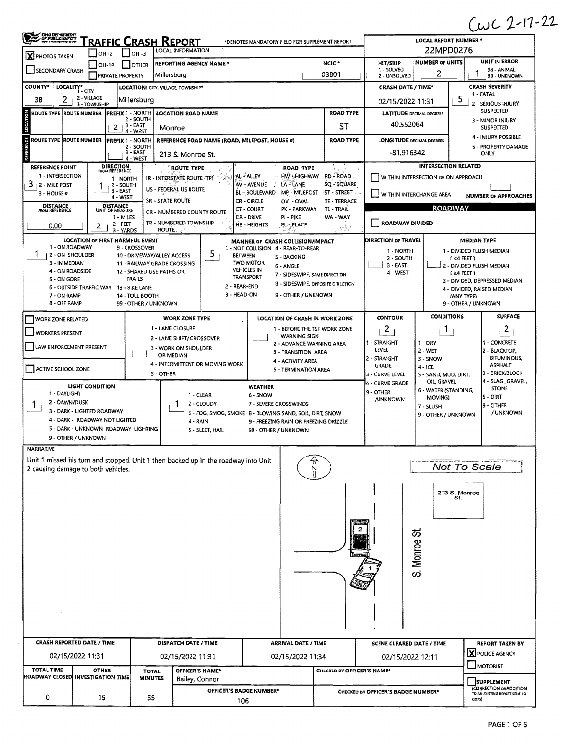$(1022 - 17 - 22)$ 

| X PHOTOS TAKEN                                                                                                                                                                    |                                         |                                                           | <u>RAFFIC CRASH REPORT</u><br>LOCAL INFORMATION | *DENOTES MANDATORY FIELD FOR SUPPLEMENT REPORT                                       |                            |                                    | <b>LOCAL REPORT NUMBER *</b><br>22MPD0276 |                                              |
|-----------------------------------------------------------------------------------------------------------------------------------------------------------------------------------|-----------------------------------------|-----------------------------------------------------------|-------------------------------------------------|--------------------------------------------------------------------------------------|----------------------------|------------------------------------|-------------------------------------------|----------------------------------------------|
|                                                                                                                                                                                   | OH -2                                   | $IOH - 3$                                                 | <b>REPORTING AGENCY NAME *</b>                  |                                                                                      | NCIC <sup>*</sup>          | HIT/SKIP                           | <b>NUMBER OF UNITS</b>                    | <b>UNIT IN ERROR</b>                         |
| SECONDARY CRASH                                                                                                                                                                   | <b>OH-1P</b><br><b>PRIVATE PROPERTY</b> | <b>OTHER</b><br>Millersburg                               |                                                 |                                                                                      | 03801                      | 1 - SOLVED<br>2 - UNSOLVED         | 2                                         | 98 - ANIMAL<br>99 - UNKNOWN                  |
| <b>COUNTY*</b><br>LOCALITY* CITY                                                                                                                                                  |                                         | <b>LOCATION: CITY, VILLAGE, TOWNSHIP*</b>                 |                                                 |                                                                                      |                            | <b>CRASH DATE / TIME*</b>          |                                           | <b>CRASH SEVERITY</b>                        |
| 38<br>2                                                                                                                                                                           | 2 - VILLAGE<br>3 - TOWNSHIP             | Millersburg                                               |                                                 |                                                                                      |                            | 02/15/2022 11:31                   |                                           | 1 - FATAL<br>5<br>2 - SERIOUS INJURY         |
| <b>ROUTE TYPE ROUTE NUMBER</b>                                                                                                                                                    | <b>PREFIX 1 - NORTH</b>                 |                                                           | <b>LOCATION ROAD NAME</b>                       |                                                                                      | <b>ROAD TYPE</b>           | <b>LATITUDE DECIMAL DEGREES</b>    |                                           | <b>SUSPECTED</b>                             |
|                                                                                                                                                                                   | $2 + 3 - EAST$                          | 2 - SOUTH                                                 | Monroe                                          |                                                                                      | ST                         | 40.552064                          |                                           | 3 - MINOR INJURY<br><b>SUSPECTED</b>         |
| ROUTE TYPE IROUTE NUMBER                                                                                                                                                          | <b>IPREFIX 1 - NORTH</b>                | 4 - WEST                                                  | REFERENCE ROAD NAME (ROAD, MILEPOST, HOUSE #)   |                                                                                      | <b>ROAD TYPE</b>           | <b>LONGITUDE DECIMAL DEGREES</b>   |                                           | 4 - INJURY POSSIBLE                          |
|                                                                                                                                                                                   |                                         | 2 - SOUTH                                                 |                                                 |                                                                                      |                            |                                    |                                           | 5 - PROPERTY DAMAGE                          |
|                                                                                                                                                                                   |                                         | 3 - EAST<br>4 - WEST                                      | 213 S. Monroe St.                               |                                                                                      |                            | $-81.916342$                       |                                           | ONLY                                         |
| <b>REFERENCE POINT</b>                                                                                                                                                            | <b>DIRECTION</b><br>FROM REFERENCE      |                                                           | ROUTE TYPE                                      | <b>ROAD TYPE</b>                                                                     | P.                         |                                    | <b>INTERSECTION RELATED</b>               |                                              |
| 1 - INTERSECTION<br>3<br><b>12 - MILE POST</b>                                                                                                                                    | 1 - NORTH<br>2 - SOUTH                  |                                                           | IR INTERSTATE ROUTE (TP)                        | HW-HIGHWAY RD-ROAD<br>AL - ALLEY<br>AV - AVENUE<br>LA - LANE<br>- 2                  | SQ - SQUARE                |                                    | WITHIN INTERSECTION OR ON APPROACH        |                                              |
| 3 - HOUSE #                                                                                                                                                                       | 3 - EAST<br>4 - WEST                    |                                                           | US - FEDERAL US ROUTE                           | <b>BL - BOULEVARD</b><br>MP - MILEPOST                                               | ST - STREET                | WITHIN INTERCHANGE AREA            |                                           | <b>NUMBER OF APPROACHES</b>                  |
| <b>DISTANCE</b>                                                                                                                                                                   | <b>DISTANCE</b>                         | SR - STATE ROUTE                                          |                                                 | CR - CIRCLE<br>OV - OVAL<br>CT - COURT<br>PK - PARKWAY                               | TE - TERRACE<br>TL - TRAIL |                                    | <b>ROADWAY</b>                            |                                              |
| <b>FROM REFERENCE</b>                                                                                                                                                             | UNIT OF MEASURE<br>1 - MILES            |                                                           | CR - NUMBERED COUNTY ROUTE                      | DR - DRIVE<br>PI-PIKE                                                                | WA - WAY                   |                                    |                                           |                                              |
| 0.00                                                                                                                                                                              | 2 - FEET<br>2<br>3 - YARDS              |                                                           | TR - NUMBERED TOWNSHIP<br>ROUTE :               | HE - HEIGHTS<br>PL-PLACE                                                             | NW.                        | ROADWAY DIVIDED                    |                                           |                                              |
|                                                                                                                                                                                   | <b>LOCATION OF FIRST HARMFUL EVENT</b>  |                                                           |                                                 | MANNER OF CRASH COLLISION/IMPACT                                                     |                            | DIRECTION OF TRAVEL                |                                           | MEDIAN TYPE                                  |
| 1 - ON ROADWAY                                                                                                                                                                    |                                         | 9 - CROSSOVER                                             | 5                                               | 1 - NOT COLLISION 4 - REAR-TO-REAR                                                   |                            | 1 - NORTH                          |                                           | 1 - DIVIDED FLUSH MEDIAN                     |
| 2 - ON SHOULDER<br>3 - IN MEDIAN                                                                                                                                                  |                                         | 10 - DRIVEWAY/ALLEY ACCESS<br>11 - RAILWAY GRADE CROSSING |                                                 | <b>BETWEEN</b><br><b>S-BACKING</b><br><b>TWO MOTOR</b>                               |                            | 2 - SOUTH<br>3 - EAST              |                                           | $1 < 4$ FEET)<br>2 - DIVIDED FLUSH MEDIAN    |
| 4 - ON ROADSIDE                                                                                                                                                                   |                                         | 12 - SHARED USE PATHS OR                                  |                                                 | 6 - ANGLE<br><b>VEHICLES IN</b><br>7 - SIDESWIPE, SAME DIRECTION<br><b>TRANSPORT</b> |                            | 4 - WEST                           |                                           | $(24$ FEET)                                  |
| 5 - ON GORE                                                                                                                                                                       | 6 - OUTSIDE TRAFFIC WAY 13 - BIKE LANE  | TRAILS                                                    |                                                 | 8 - SIDESWIPE, OPPOSITE DIRECTION<br>2 - REAR-END                                    |                            |                                    |                                           | 3 - DIVIDED, DEPRESSED MEDIAN                |
| 7 - ON RAMP                                                                                                                                                                       |                                         | 14 - TOLL BOOTH                                           |                                                 | 3 - HEAD-ON<br>9 - OTHER / UNKNOWN                                                   |                            |                                    |                                           | 4 - DIVIDED, RAISED MEDIAN<br>(ANY TYPE)     |
| 8 - OFF RAMP                                                                                                                                                                      |                                         | 99 - OTHER / UNKNOWN                                      |                                                 |                                                                                      |                            |                                    |                                           | 9 - OTHER / UNKNOWN                          |
| <b>WORK ZONE RELATED</b>                                                                                                                                                          |                                         |                                                           | <b>WORK ZONE TYPE</b>                           | LOCATION OF CRASH IN WORK ZONE                                                       |                            | <b>CONTOUR</b>                     | <b>CONDITIONS</b>                         | <b>SURFACE</b>                               |
| <b>WORKERS PRESENT</b>                                                                                                                                                            |                                         |                                                           | 1 - LANE CLOSURE                                | 1 - BEFORE THE 1ST WORK ZONE                                                         |                            | $\overline{2}$                     | Т.                                        | 2                                            |
|                                                                                                                                                                                   |                                         |                                                           | 2 - LANE SHIFT/ CROSSOVER                       | <b>WARNING SIGN</b><br>2 - ADVANCE WARNING AREA                                      |                            | 1 - STRAIGHT                       | $1 - DRY$                                 | 1 - CONCRETE                                 |
| LAW ENFORCEMENT PRESENT                                                                                                                                                           |                                         |                                                           | 3 - WORK ON SHOULDER<br>OR MEDIAN               | 3 - TRANSITION AREA                                                                  |                            | LEVEL.                             | $2 - WET$                                 | 2 - BLACKTOP,                                |
| ACTIVE SCHOOL ZONE                                                                                                                                                                |                                         |                                                           | 4 - INTERMITTENT OR MOVING WORK                 | 4 - ACTIVITY AREA                                                                    |                            | 2 - STRAIGHT<br>GRADE              | $3 - SNOW$<br>$4 - ICE$                   | <b>BITUMINOUS,</b><br><b>ASPHALT</b>         |
|                                                                                                                                                                                   |                                         | S - OTHER                                                 |                                                 | 5 - TERMINATION AREA                                                                 |                            | 3 - CURVE LEVEL                    | 5 - SAND, MUD, DIRT,                      | 3 - BRICK/BLOCK                              |
|                                                                                                                                                                                   | <b>LIGHT CONDITION</b>                  |                                                           |                                                 | <b>WEATHER</b>                                                                       |                            | 4 - CURVE GRADE<br>9 - OTHER       | OIL, GRAVEL<br>6 - WATER (STANDING,       | 4 - SLAG, GRAVEL,<br><b>STONE</b>            |
| 1 - DAYLIGHT<br>2 - DAWN/DUSK                                                                                                                                                     |                                         |                                                           | 1 - CLEAR<br>2 - CLOUDY                         | 6 - SNOW<br>7 - SEVERE CROSSWINDS                                                    |                            | /UNKNOWN                           | MOVING)                                   | $5 - DIRT$                                   |
| Т.                                                                                                                                                                                | 3 - DARK - LIGHTED ROADWAY              |                                                           |                                                 | 3 - FOG, SMOG, SMOKE B - BLOWING SAND, SOIL, DIRT, SNOW                              |                            |                                    | 7 - SLUSH<br>9 - OTHER / UNKNOWN          | 9 - OTHER<br>/ UNKNOWN                       |
|                                                                                                                                                                                   | 4 - DARK - ROADWAY NOT UGHTED           |                                                           | 4 - RAIN                                        | 9 - FREEZING RAIN OR FREEZING DRIZZLE                                                |                            |                                    |                                           |                                              |
|                                                                                                                                                                                   | 5 - DARK - UNKNOWN ROADWAY LIGHTING     |                                                           | 5 - SLEET, HAIL                                 | 99 - OTHER / UNKNOWN                                                                 |                            |                                    |                                           |                                              |
| 9 - OTHER / UNKNOWN                                                                                                                                                               |                                         |                                                           |                                                 |                                                                                      |                            |                                    |                                           |                                              |
|                                                                                                                                                                                   |                                         |                                                           |                                                 |                                                                                      |                            |                                    |                                           |                                              |
|                                                                                                                                                                                   |                                         |                                                           |                                                 |                                                                                      |                            |                                    |                                           |                                              |
|                                                                                                                                                                                   |                                         |                                                           |                                                 | N                                                                                    |                            |                                    |                                           | Not To Scale                                 |
|                                                                                                                                                                                   |                                         |                                                           |                                                 |                                                                                      |                            |                                    |                                           |                                              |
|                                                                                                                                                                                   |                                         |                                                           |                                                 |                                                                                      |                            |                                    |                                           | 213 S. Monroe                                |
|                                                                                                                                                                                   |                                         |                                                           |                                                 |                                                                                      |                            |                                    |                                           | St.                                          |
|                                                                                                                                                                                   |                                         |                                                           |                                                 |                                                                                      |                            |                                    |                                           |                                              |
|                                                                                                                                                                                   |                                         |                                                           |                                                 |                                                                                      |                            |                                    |                                           |                                              |
|                                                                                                                                                                                   |                                         |                                                           |                                                 |                                                                                      |                            |                                    |                                           |                                              |
|                                                                                                                                                                                   |                                         |                                                           |                                                 |                                                                                      |                            |                                    |                                           |                                              |
|                                                                                                                                                                                   |                                         |                                                           |                                                 |                                                                                      |                            |                                    |                                           |                                              |
|                                                                                                                                                                                   |                                         |                                                           |                                                 |                                                                                      |                            |                                    | S. Monroe St.                             |                                              |
|                                                                                                                                                                                   |                                         |                                                           |                                                 |                                                                                      |                            |                                    |                                           |                                              |
|                                                                                                                                                                                   |                                         |                                                           |                                                 |                                                                                      |                            |                                    |                                           |                                              |
|                                                                                                                                                                                   |                                         |                                                           |                                                 |                                                                                      |                            |                                    |                                           |                                              |
|                                                                                                                                                                                   |                                         |                                                           |                                                 |                                                                                      |                            |                                    |                                           |                                              |
|                                                                                                                                                                                   |                                         |                                                           |                                                 |                                                                                      |                            |                                    |                                           |                                              |
| <b>NARRATIVE</b><br>Unit 1 missed his turn and stopped. Unit 1 then backed up in the roadway into Unit<br>2 causing damage to both vehicles.<br><b>CRASH REPORTED DATE / TIME</b> |                                         |                                                           | DISPATCH DATE / TIME                            | <b>ARRIVAL DATE / TIME</b>                                                           |                            | <b>SCENE CLEARED DATE / TIME</b>   |                                           |                                              |
|                                                                                                                                                                                   |                                         |                                                           |                                                 |                                                                                      |                            |                                    |                                           | <b>REPORT TAKEN BY</b><br>X POLICE AGENCY    |
| 02/15/2022 11:31                                                                                                                                                                  |                                         |                                                           | 02/15/2022 11:31                                | 02/15/2022 11:34                                                                     |                            | 02/15/2022 12:11                   |                                           |                                              |
| <b>TOTAL TIME</b>                                                                                                                                                                 | <b>OTHER</b>                            | <b>TOTAL</b>                                              | <b>OFFICER'S NAME*</b>                          |                                                                                      | CHECKED BY OFFICER'S NAME* |                                    |                                           | $\Box$ MOTORIST                              |
| ROADWAY CLOSED INVESTIGATION TIME                                                                                                                                                 |                                         | <b>MINUTES</b>                                            | Bailey, Connor                                  | OFFICER'S BADGE NUMBER*                                                              |                            | CHECKED BY OFFICER'S BADGE NUMBER* |                                           | <b>SUPPLEMENT</b><br>(CORRECTION OR ADDITION |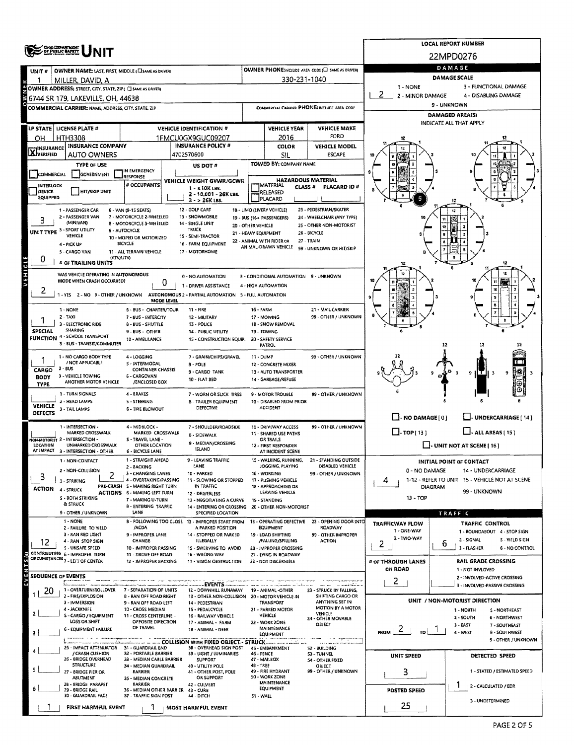|                           |                                                                               |                                                          | <b>LOCAL REPORT NUMBER</b>                                                               |                      |                                                   |                                                                   |                                                                                   |                                                                 |  |  |  |  |  |
|---------------------------|-------------------------------------------------------------------------------|----------------------------------------------------------|------------------------------------------------------------------------------------------|----------------------|---------------------------------------------------|-------------------------------------------------------------------|-----------------------------------------------------------------------------------|-----------------------------------------------------------------|--|--|--|--|--|
|                           | CHOODSPARTMENT                                                                |                                                          |                                                                                          |                      |                                                   |                                                                   | 22MPD0276                                                                         |                                                                 |  |  |  |  |  |
| UNIT #                    | OWNER NAME: LAST, FIRST, MIDDLE (CI SAME AS DRIVER)                           |                                                          |                                                                                          |                      |                                                   | <b>OWNER PHONE:INCLUDE AREA CODE (E) SAME AS DRIVERY</b>          | DAMAGE                                                                            |                                                                 |  |  |  |  |  |
|                           | MILLER, DAVID, A                                                              |                                                          |                                                                                          |                      | 330-231-1040                                      |                                                                   | <b>DAMAGE SCALE</b>                                                               |                                                                 |  |  |  |  |  |
|                           | OWNER ADDRESS: STREET, CITY, STATE, ZIP ( C SAME AS DRIVER)                   |                                                          |                                                                                          |                      |                                                   |                                                                   | 1 - NONE                                                                          | 3 - FUNCTIONAL DAMAGE                                           |  |  |  |  |  |
|                           | 6744 SR 179, LAKEVILLE, OH, 44638                                             |                                                          |                                                                                          |                      |                                                   |                                                                   | 2<br>2 - MINOR DAMAGE                                                             | 4 - DISABLING DAMAGE                                            |  |  |  |  |  |
|                           | COMMERCIAL CARRIER: NAME, ADDRESS, CITY, STATE, ZIP                           |                                                          |                                                                                          |                      |                                                   | COMMERCIAL CARRIER PHONE: INCLUDE AREA CODE                       | 9 - UNKNOWN                                                                       |                                                                 |  |  |  |  |  |
|                           |                                                                               |                                                          |                                                                                          |                      |                                                   |                                                                   | <b>DAMAGED AREA(S)</b><br>INDICATE ALL THAT APPLY                                 |                                                                 |  |  |  |  |  |
|                           | LP STATE   LICENSE PLATE #                                                    |                                                          | <b>VEHICLE IDENTIFICATION #</b>                                                          |                      | VEHICLE YEAR                                      | <b>VEHICLE MAKE</b>                                               |                                                                                   |                                                                 |  |  |  |  |  |
| OН                        | <b>HTH3308</b>                                                                |                                                          | 1FMCU0GX9GUC09207                                                                        |                      | 2016                                              | FORD                                                              |                                                                                   |                                                                 |  |  |  |  |  |
| <b>X</b> INSURANCE        | <b>INSURANCE COMPANY</b><br><b>AUTO OWNERS</b>                                |                                                          | <b>INSURANCE POLICY #</b><br>4702570600                                                  |                      | COLOR<br><b>SIL</b>                               | <b>VEHICLE MODEL</b><br><b>ESCAPE</b>                             |                                                                                   |                                                                 |  |  |  |  |  |
|                           | <b>TYPE OF USE</b>                                                            |                                                          |                                                                                          |                      | TOWED BY: COMPANY NAME                            |                                                                   |                                                                                   |                                                                 |  |  |  |  |  |
| COMMERCIAL                | GOVERNMENT                                                                    | IN EMERGENCY                                             | US DOT#                                                                                  |                      |                                                   |                                                                   |                                                                                   |                                                                 |  |  |  |  |  |
| INTERLOCK                 |                                                                               | RESPONSE<br># OCCUPANTS                                  | VEHICLE WEIGHT GVWR/GCWR                                                                 |                      | <b>HAZARDOUS MATERIAL</b><br>MATERIAL             |                                                                   |                                                                                   |                                                                 |  |  |  |  |  |
| DEVICE                    | <b>HIT/SKIP UNIT</b>                                                          |                                                          | 1 - ≤10K LBS.<br>2 - 10.001 - 26K LBS.                                                   |                      | <b>CLASS #</b><br>RELEASED                        | PLACARD ID#                                                       |                                                                                   |                                                                 |  |  |  |  |  |
| EQUIPPED                  |                                                                               |                                                          | 3 - > 26K LBS.                                                                           |                      | PLACARD                                           |                                                                   |                                                                                   |                                                                 |  |  |  |  |  |
|                           | 1 - PASSENGER CAR<br>2 - PASSENGER VAN                                        | 6 - VAN (9-15 SEATS)<br>7 - MOTORCYCLE 2-WHEELED         | 12 - GOLF CART<br>13 - SNOWMOBILE                                                        |                      | 18 - LIMO (LIVERY VEHICLE)                        | 23 - PEDESTRIAN/SKATER<br>24 - WHEELCHAIR (ANY TYPE)              |                                                                                   |                                                                 |  |  |  |  |  |
|                           | (MINIVAN)                                                                     | 8 - MOTORCYCLE 3-WHEELED                                 | 14 - SINGLE UNIT                                                                         | 20 - OTHER VEHICLE   | 19 - BUS (16+ PASSENGERS)                         | 25 - OTHER NON-MOTORIST                                           |                                                                                   |                                                                 |  |  |  |  |  |
|                           | UNIT TYPE 3 - SPORT UTILITY<br>VEHICLE                                        | 9 - AUTOCYCLE<br>10 - MOPED OR MOTORIZED                 | TRUCK<br>1S - SEMI-TRACTOR                                                               | 21 - HEAVY EQUIPMENT |                                                   | 26 - BICYCLE                                                      |                                                                                   |                                                                 |  |  |  |  |  |
|                           | 4 - PICK UP                                                                   | <b>BICYCLE</b>                                           | 16 - FARM EQUIPMENT                                                                      |                      | 22 - ANIMAL WITH RIDER OR<br>ANIMAL-DRAWN VEHICLE | 27 - TRAIN                                                        |                                                                                   |                                                                 |  |  |  |  |  |
|                           | 5 - CARGO VAN                                                                 | 11 - ALL TERRAIN VEHICLE                                 | 17 - MOTORHOME                                                                           |                      |                                                   | 99 - UNKNOWN OR HIT/SKIP                                          |                                                                                   |                                                                 |  |  |  |  |  |
| O                         | (ATV/UTV)<br># OF TRAILING UNITS                                              |                                                          |                                                                                          |                      |                                                   |                                                                   |                                                                                   |                                                                 |  |  |  |  |  |
| VEHICLE                   | WAS VEHICLE OPERATING IN AUTONOMOUS                                           |                                                          | 0 - NO AUTOMATION                                                                        |                      | 3 - CONDITIONAL AUTOMATION 9 - UNKNOWN            |                                                                   |                                                                                   |                                                                 |  |  |  |  |  |
|                           | MODE WHEN CRASH OCCURRED?                                                     | 0                                                        | 1 - DRIVER ASSISTANCE                                                                    |                      | 4 - HIGH AUTOMATION                               |                                                                   |                                                                                   |                                                                 |  |  |  |  |  |
| ۷                         |                                                                               |                                                          | 1 - YES 2 - NO 9 - OTHER / UNKNOWN AUTONOMOUS 2 - PARTIAL AUTOMATION 5 - FULL AUTOMATION |                      |                                                   |                                                                   |                                                                                   |                                                                 |  |  |  |  |  |
|                           |                                                                               | MODE LEVEL                                               |                                                                                          |                      |                                                   |                                                                   |                                                                                   |                                                                 |  |  |  |  |  |
|                           | 1 - NONE<br>$2 - TAXI$                                                        | <b>6 - BUS - CHARTER/TOUR</b><br>7 - BUS - INTERCITY     | 11 - FIRE<br>12 - MILITARY                                                               | <b>16 - FARM</b>     | 17 - MOWING                                       | 21 - MAIL CARRIER<br>99 - OTHER / UNKNOWN                         |                                                                                   |                                                                 |  |  |  |  |  |
|                           | 3 - ELECTRONIC RIDE                                                           | 13 - POLICE                                              |                                                                                          | 18 - SNOW REMOVAL    |                                                   |                                                                   |                                                                                   |                                                                 |  |  |  |  |  |
| <b>SPECIAL</b>            | SHARING<br><b>FUNCTION 4 - SCHOOL TRANSPORT</b>                               | 9 - BUS - OTHER                                          | 14 - PUBLIC UTILITY                                                                      |                      | 19 - TOWING                                       |                                                                   |                                                                                   |                                                                 |  |  |  |  |  |
|                           | S - BUS - TRANSIT/COMMUTER                                                    | 10 - AMBULANCE                                           | 15 - CONSTRUCTION EQUIP.                                                                 |                      | 20 - SAFETY SERVICE<br><b>PATROL</b>              |                                                                   |                                                                                   | 12                                                              |  |  |  |  |  |
|                           | 1 - NO CARGO BODY TYPE                                                        | 4 - LOGGING                                              | 7 - GRAIN/CHIPS/GRAVEL                                                                   | 11 - DUMP            |                                                   |                                                                   |                                                                                   |                                                                 |  |  |  |  |  |
|                           | / NOT APPLICABLE                                                              | S - INTERMODAL                                           |                                                                                          | 12 - CONCRETE MIXER  | 99 - OTHER / UNKNOWN                              |                                                                   |                                                                                   |                                                                 |  |  |  |  |  |
| CARGO<br><b>BODY</b>      | $2 - BUS$<br>3 - VEHICLE TOWING                                               | <b>CONTAINER CHASSIS</b><br>6 - CARGOVAN                 | 9 - CARGO TANK<br>10 - FLAT BED                                                          |                      | 13 - AUTO TRANSPORTER                             |                                                                   |                                                                                   | 9<br>9                                                          |  |  |  |  |  |
| <b>TYPE</b>               | ANOTHER MOTOR VEHICLE                                                         | /ENCLOSED BOX                                            |                                                                                          | 14 - GARBAGE/REFUSE  |                                                   |                                                                   |                                                                                   |                                                                 |  |  |  |  |  |
|                           | 1 - TURN SIGNALS                                                              | 4 - BRAKES                                               | 7 - WORN OR SLICK TIRES                                                                  |                      | 9 - MOTOR TROUBLE                                 | 99 - OTHER / UNKNOWN                                              |                                                                                   |                                                                 |  |  |  |  |  |
| <b>VEHICLE</b>            | 2 - HEAD LAMPS                                                                | <b>S-STEERING</b>                                        | 8 - TRAILER EQUIPMENT<br>DEFECTIVE                                                       |                      | 10 - DISABLED FROM PRIOR<br><b>ACCIDENT</b>       |                                                                   |                                                                                   |                                                                 |  |  |  |  |  |
| DEFECTS                   | 3 - TAIL LAMPS                                                                | <b>6 - TIRE BLOWOUT</b>                                  |                                                                                          |                      |                                                   |                                                                   | $\Box$ -NO DAMAGE[0]                                                              | $\Box$ - UNDERCARRIAGE [ 14 ]                                   |  |  |  |  |  |
|                           | 1 - INTERSECTION -                                                            | 4 - MIDBLOCK -                                           | 7 - SHOULDER/ROADSIDE                                                                    |                      | 10 - DRIVEWAY ACCESS                              | 99 - OTHER / UNKNOWN                                              |                                                                                   |                                                                 |  |  |  |  |  |
|                           | MARKED CROSSWALK<br><b>NON-MOTORIST 2 - INTERSECTION -</b>                    | MARKED CROSSWALK<br>S - TRAVEL LANE -                    | <b>B - SIDEWALK</b>                                                                      |                      | 11 - SHARED USE PATHS<br><b>OR TRAILS</b>         |                                                                   | $\Box$ -TOP[13]<br>$\Box$ - ALL AREAS [ 15 ]<br>$\Box$ - UNIT NOT AT SCENE [ 16 ] |                                                                 |  |  |  |  |  |
| LOCATION                  | UNMARKED CROSSWALK                                                            | OTHER LOCATION                                           | 9 - MEDIAN/CROSSING<br><b>ISLAND</b>                                                     |                      | 12 - FIRST RESPONDER                              |                                                                   |                                                                                   |                                                                 |  |  |  |  |  |
|                           | AT IMPACT 3 - INTERSECTION - OTHER                                            | <b>6 - BICYCLE LANE</b><br>1 - STRAIGHT AHEAD            | 9 - LEAVING TRAFFIC                                                                      |                      | AT INCIDENT SCENE<br>15 - WALKING, RUNNING,       | 21 - STANDING OUTSIDE                                             |                                                                                   |                                                                 |  |  |  |  |  |
|                           | 1 - NON-CONTACT<br>2 - NON-COLLISION                                          | 2 - BACKING                                              | LANE                                                                                     |                      | JOGGING, PLAYING                                  | DISABLED VEHICLE                                                  | 0 - NO DAMAGE                                                                     | INITIAL POINT OF CONTACT<br>14 - UNDERCARRIAGE                  |  |  |  |  |  |
| 3                         | 3 - STRIKING                                                                  | 3 - CHANGING LANES<br>4 - OVERTAKING/PASSING             | 10 - PARKED<br>11 - SLOWING OR STOPPED                                                   |                      | 16 - WORKING<br>17 - PUSHING VEHICLE              | 99 - OTHER / UNKNOWN                                              | 4                                                                                 | 1-12 - REFER TO UNIT 15 - VEHICLE NOT AT SCENE                  |  |  |  |  |  |
| <b>ACTION</b>             | 4 - STRUCK                                                                    | PRE-CRASH S - MAKING RIGHT TURN                          | IN TRAFFIC                                                                               |                      | 18 - APPROACHING OR                               |                                                                   | <b>DIAGRAM</b>                                                                    |                                                                 |  |  |  |  |  |
|                           | S - BOTH STRIKING                                                             | <b>ACTIONS 6 - MAKING LEFT TURN</b><br>7 - MAKING U-TURN | 12 - DRIVERLESS<br>13 - NEGOTIATING A CURVE                                              |                      | LEAVING VEHICLE<br>19 - STANDING                  |                                                                   | $13 - TOP$                                                                        | 99 - UNKNOWN                                                    |  |  |  |  |  |
|                           | & STRUCK                                                                      | 8 - ENTERING TRAFFIC                                     | 14 - ENTERING OR CROSSING 20 - OTHER NON-MOTORIST                                        |                      |                                                   |                                                                   |                                                                                   |                                                                 |  |  |  |  |  |
|                           | 9 - OTHER / UNKNOWN<br>1 - NONE                                               | LANE                                                     | SPECIFIED LOCATION<br>8 - FOLLOWING TOO CLOSE 13 - IMPROPER START FROM                   |                      | 18 - OPERATING DEFECTIVE                          | 23 - OPENING DOOR INTO                                            |                                                                                   | TRAFFIC                                                         |  |  |  |  |  |
|                           | 2 - FAILURE TO YIELD                                                          | /ACDA                                                    | A PARKED POSITION                                                                        |                      | EQUIPMENT                                         | ROADWAY                                                           | <b>TRAFFICWAY FLOW</b><br>1 - ONE-WAY                                             | <b>TRAFFIC CONTROL</b><br>1 - ROUNDABOUT 4 - STOP SIGN          |  |  |  |  |  |
| 12                        | 3 - RAN RED LIGHT<br>4 - RAN STOP SIGN                                        | 9 - IMPROPER LANE<br>CHANGE                              | 14 - STOPPED OR PARKED<br><b>ILLEGALLY</b>                                               |                      | 19 - LOAD SHIFTING<br>/FALLING/SPILLING           | 99 - OTHER IMPROPER<br><b>ACTION</b>                              | 2 - TWO-WAY                                                                       | 2 - SIGNAL<br>S - YIELD SIGN                                    |  |  |  |  |  |
|                           | 5 - UNSAFE SPEED                                                              | 10 - IMPROPER PASSING                                    | 15 - SWERVING TO AVOID                                                                   |                      | 20 - IMPROPER CROSSING                            |                                                                   | 2                                                                                 | b<br>3 - FLASHER<br>6 - NO CONTROL                              |  |  |  |  |  |
|                           | CONTRIBUTING 6 - IMPROPER TURN<br>CIRCUMSTANCES <sub>7</sub> - LEFT OF CENTER | 11 - DROVE OFF ROAD<br>12 - IMPROPER BACKING             | 16 - WRONG WAY<br>17 - VISION OBSTRUCTION                                                |                      | 21 - LYING IN ROADWAY<br>22 - NOT DISCERNIBLE     |                                                                   | # or THROUGH LANES                                                                | RAIL GRADE CROSSING                                             |  |  |  |  |  |
| ENTS(S)                   |                                                                               |                                                          |                                                                                          |                      |                                                   |                                                                   | ON ROAD                                                                           | 1 - NOT INVLOVED                                                |  |  |  |  |  |
| <b>SEQUENCE OF EVENTS</b> |                                                                               |                                                          |                                                                                          |                      |                                                   |                                                                   | 2                                                                                 | 2 - INVOLVED-ACTIVE CROSSING                                    |  |  |  |  |  |
| 20                        | 1 - OVERTURN/ROLLOVER                                                         | 7 - SEPARATION OF UNITS                                  | <b>EVENTS</b><br>12 - DOWNHILL RUNAWAY                                                   |                      | 19 - ANIMAL -OTHER                                | an ann à thair<br>23 - STRUCK BY FALLING,                         |                                                                                   | 3 - INVOLVED-PASSIVE CROSSING                                   |  |  |  |  |  |
|                           | 2 - FIRE/EXPLOSION<br>3 - IMMERSION                                           | <b>8 - RAN OFF ROAD RIGHT</b><br>9 - RAN OFF ROAD LEFT   | 13 - OTHER NON-COLLISION 20 - MOTOR VEHICLE IN<br>14 - PEDESTRIAN                        |                      | TRANSPORT                                         | SHIFTING CARGO OR<br>ANYTHING SET IN                              |                                                                                   | UNIT / NON-MOTORIST DIRECTION                                   |  |  |  |  |  |
|                           | 4 - JACKKNIFE                                                                 | 10 - CROSS MEDIAN                                        | 15 - PEDALCYCLE                                                                          |                      | 21 - PARKED MOTOR                                 | <b>MOTION BY A MOTOR</b><br>VEHICLE                               |                                                                                   | 1 NORTH<br>5 - NORTHEAST                                        |  |  |  |  |  |
|                           | S - CARGO / EQUIPMENT<br>LOSS OR SHIFT                                        | 11 - CROSS CENTERLINE -<br>OPPOSITE DIRECTION            | 16 - RAILWAY VEHICLE<br>17 - ANIMAL - FARM                                               |                      | VEHICLE<br>22 - WORK ZONE                         | 24 - OTHER MOVABLE                                                |                                                                                   | 2 - SOUTH<br><b>6 - NORTHWEST</b>                               |  |  |  |  |  |
|                           | 6 - EQUIPMENT FAILURE                                                         | OF TRAVEL                                                | 18 - ANIMAL - DEER                                                                       |                      | <b>MAINTENANCE</b>                                | OBJECT                                                            | ۷<br><b>FROM</b>                                                                  | $3 - EAST$<br>7 - SOUTHEAST<br>4 - WEST<br><b>8 - SOUTHWEST</b> |  |  |  |  |  |
|                           |                                                                               |                                                          | <b>ELECTION WITH FIXED OBJECT - STRUCK</b>                                               |                      | <b>EQUIPMENT</b>                                  | - Line in improved model car<br><b>March of Canada and Canada</b> |                                                                                   | 9 - OTHER / UNKNOWN                                             |  |  |  |  |  |
|                           | 25 - IMPACT ATTENUATOR 31 - GUARDRAIL END<br>/ CRASH CUSHION                  | 32 - PORTABLE BARRIER                                    | 38 - OVERHEAD SIGN POST                                                                  |                      | 45 - EMBANKMENT                                   | 52 - BUILDING                                                     |                                                                                   |                                                                 |  |  |  |  |  |
|                           | 26 - BRIDGE OVERHEAD                                                          | 33 - MEDIAN CABLE BARRIER                                | 39 - UGHT / LUMINARIES<br><b>SUPPORT</b>                                                 | 46 - FENCE           | 47 - MAILBOX                                      | 53 - TUNNEL<br>54 - OTHER FIXED                                   | UNIT SPEED                                                                        | DETECTED SPEED                                                  |  |  |  |  |  |
|                           | <b>STRUCTURE</b><br>27 - BRIDGE PIER OR                                       | 34 - MEDIAN GUARDRAIL<br><b>BARRIER</b>                  | 40 - UTILITY POLE<br>41 - OTHER POST, POLE                                               | 48 - TREE            | 49 - FIRE HYDRANT                                 | OBJECT<br>99 - OTHER / UNKNOWN                                    | 3                                                                                 | 1 - STATED / ESTIMATED SPEED                                    |  |  |  |  |  |
|                           | ABUTMENT                                                                      | 35 - MEDIAN CONCRETE                                     | OR SUPPORT                                                                               |                      | 50 - WORK ZONE<br>MAINTENANCE                     |                                                                   |                                                                                   |                                                                 |  |  |  |  |  |
|                           | 28 - BRIDGE PARAPET<br>29 - 8RIDGE RAIL                                       | BARRIER<br>36 - MEDIAN OTHER BARRIER 43 - CURE           | 42 - CULVERT                                                                             |                      | EQUIPMENT                                         |                                                                   | <b>POSTED SPEED</b>                                                               | 2 - CALCULATED / EDR                                            |  |  |  |  |  |
|                           | 30 - GUARDRAIL FACE                                                           | 37 - TRAFFIC SIGN POST                                   | 44 - DITCH                                                                               | S1 - WALL            |                                                   |                                                                   |                                                                                   | 3 - UNDETERMINED                                                |  |  |  |  |  |
|                           | FIRST HARMFUL EVENT                                                           |                                                          | <b>MOST HARMFUL EVENT</b>                                                                |                      |                                                   |                                                                   | 25                                                                                |                                                                 |  |  |  |  |  |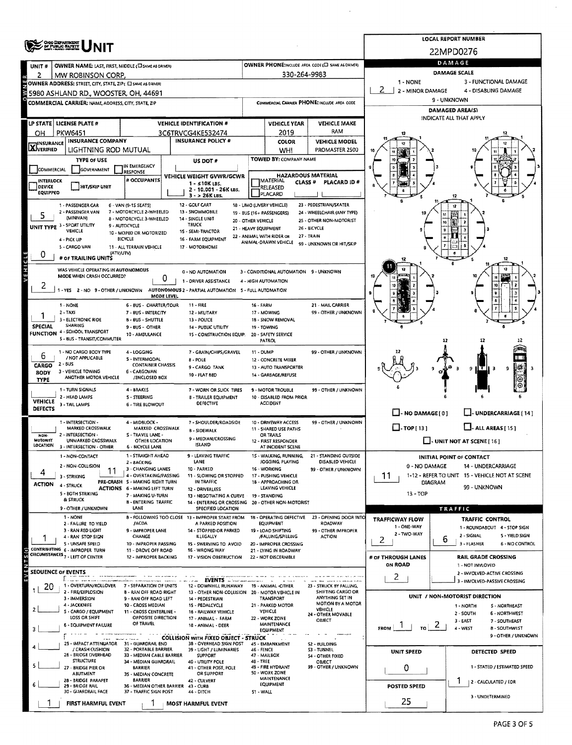|                           |                                                                  |                                                                 |            |                                                                                |                      |                                                         |                                                      |                                                                                    | LOCAL REPORT NUMBER                                                |  |  |  |  |  |
|---------------------------|------------------------------------------------------------------|-----------------------------------------------------------------|------------|--------------------------------------------------------------------------------|----------------------|---------------------------------------------------------|------------------------------------------------------|------------------------------------------------------------------------------------|--------------------------------------------------------------------|--|--|--|--|--|
|                           | <b>ONO DEPARTMENT</b><br>OF PUBLIC SAFETY                        |                                                                 |            |                                                                                |                      |                                                         |                                                      | 22MPD0276                                                                          |                                                                    |  |  |  |  |  |
| UNIT#                     | OWNER NAME: LAST, FIRST, MIDDLE (C) SAME AS DRIVER!              |                                                                 |            |                                                                                |                      |                                                         | OWNER PHONE:INCLUDE AREA CODE (E) SAME AS DRIVER)    | DAMAGE                                                                             |                                                                    |  |  |  |  |  |
|                           | MW ROBINSON CORP.                                                |                                                                 |            |                                                                                |                      | 330-264-9983                                            |                                                      |                                                                                    | <b>DAMAGE SCALE</b>                                                |  |  |  |  |  |
|                           | OWNER ADDRESS: STREET, CITY, STATE, ZIP ( C SAME AS DAVER)       |                                                                 |            |                                                                                |                      |                                                         |                                                      | 1 - NONE<br>3 - FUNCTIONAL DAMAGE<br>2<br>2 - MINOR DAMAGE<br>4 - DISABLING DAMAGE |                                                                    |  |  |  |  |  |
|                           | 5980 ASHLAND RD., WOOSTER, OH, 44691                             |                                                                 |            |                                                                                |                      |                                                         |                                                      | 9 - UNKNOWN                                                                        |                                                                    |  |  |  |  |  |
|                           | <b>COMMERCIAL CARRIER: NAME, ADDRESS, CITY, STATE, ZIP</b>       |                                                                 |            |                                                                                |                      |                                                         | COMMERCIAL CARRIER PHONE: INCLUDE AREA CODE          | <b>DAMAGED AREA(S)</b>                                                             |                                                                    |  |  |  |  |  |
| LP STATE                  | <b>LICENSE PLATE #</b>                                           |                                                                 |            | <b>VEHICLE IDENTIFICATION #</b>                                                |                      | <b>VEHICLE YEAR</b>                                     | <b>VEHICLE MAKE</b>                                  |                                                                                    | INDICATE ALL THAT APPLY                                            |  |  |  |  |  |
| OН                        | <b>PKW6451</b>                                                   |                                                                 |            | 3C6TRVCG4KE532474                                                              |                      | 2019                                                    | RAM                                                  |                                                                                    |                                                                    |  |  |  |  |  |
| <b>X</b> INSURANCE        | <b>INSURANCE COMPANY</b>                                         |                                                                 |            | <b>INSURANCE POLICY #</b>                                                      |                      | <b>COLOR</b>                                            | <b>VEHICLE MODEL</b>                                 |                                                                                    |                                                                    |  |  |  |  |  |
|                           | LIGHTNING ROD MUTUAL                                             |                                                                 |            |                                                                                |                      | <b>WHI</b>                                              | PROMASTER 2500                                       |                                                                                    |                                                                    |  |  |  |  |  |
|                           | <b>TYPE OF USE</b>                                               | IN EMERGENCY                                                    |            | US DOT #                                                                       |                      | TOWED BY: COMPANY NAME                                  |                                                      |                                                                                    |                                                                    |  |  |  |  |  |
| COMMERCIAL                | GOVERNMENT                                                       | <b>RESPONSE</b><br># OCCUPANTS                                  |            | VEHICLE WEIGHT GVWR/GCWR                                                       |                      | <b>HAZARDOUS MATERIAL</b><br><b>IMATERIAL</b>           |                                                      |                                                                                    |                                                                    |  |  |  |  |  |
| INTERLOCK<br>DEVICE       | HIT/SKIP UNIT                                                    |                                                                 |            | 1 - ≤10K LBS.<br>2 - 10.001 - 26K LBS.                                         |                      | CLASS <sup>#</sup><br>RELEASED                          | PLACARD ID#                                          |                                                                                    |                                                                    |  |  |  |  |  |
| EQUIPPEO                  |                                                                  |                                                                 |            | 3 - > 26K LBS.                                                                 |                      | <b>PLACARD</b>                                          |                                                      |                                                                                    |                                                                    |  |  |  |  |  |
|                           | 1 - PASSENGER CAR<br>2 - PASSENGER VAN                           | 6 - VAN (9-1S SEAT5)<br>7 - MOTORCYCLE 2-WHEELED                |            | 12 - GOLF CART<br>13 - SNOWMOBILE                                              |                      | 18 - LIMO (LIVERY VEHICLE)<br>19 - BUS (16+ PASSENGERS) | 23 - PEDESTRIAN/SKATER<br>24 - WHEELCHAIR (ANY TYPE) |                                                                                    | 12                                                                 |  |  |  |  |  |
| 5                         | (MINIVAN)                                                        | 8 - MOTORCYCLE 3-WHEELED                                        |            | 14 - SINGLE UNIT<br><b>TRUCK</b>                                               | 20 - OTHER VEHICLE   |                                                         | 25 - OTHER NON-MOTORIST                              |                                                                                    |                                                                    |  |  |  |  |  |
|                           | UNIT TYPE 3 - SPORT UTILITY<br>VEHICLE                           | 9 - AUTOCYCLE<br>10 - MOPED OR MOTORIZED                        |            | 15 - SEMI-TRACTOR                                                              | 21 - HEAVY EQUIPMENT | 22 - ANIMAL WITH RIDER OR                               | 26 - BICYCLE<br>27 - TRAIN                           |                                                                                    |                                                                    |  |  |  |  |  |
|                           | 4 - PICK UP<br>5 - CARGO VAN                                     | <b>BICYCLE</b><br>11 - ALL TERRAIN VEHICLE                      |            | 16 - FARM EOUIPMENT<br>17 - MOTORHOME                                          |                      | ANIMAL-DRAWN VEHICLE                                    | 99 - UNKNOWN OR HIT/SKIP                             |                                                                                    |                                                                    |  |  |  |  |  |
| U                         | (ATV/UTV)                                                        |                                                                 |            |                                                                                |                      |                                                         |                                                      |                                                                                    |                                                                    |  |  |  |  |  |
| VEHICLE                   | # OF TRAILING UNITS                                              |                                                                 |            |                                                                                |                      |                                                         |                                                      |                                                                                    | 12                                                                 |  |  |  |  |  |
|                           | WAS VEHICLE OPERATING IN AUTONOMOUS<br>MODE WHEN CRASH OCCURRED? |                                                                 | 0          | 0 - NO AUTOMATION                                                              |                      | 3 - CONDITIONAL AUTOMATION 9 - UNXNOWN                  |                                                      |                                                                                    |                                                                    |  |  |  |  |  |
|                           | -YES 2-NO 9-OTHER / UNKNOWN                                      |                                                                 |            | 1 - DRIVER ASSISTANCE<br>AUTONOMOUS 2 - PARTIAL AUTOMATION 5 - FULL AUTOMATION |                      | 4 - HIGH AUTOMATION                                     |                                                      |                                                                                    |                                                                    |  |  |  |  |  |
|                           |                                                                  |                                                                 | MODE LEVEL |                                                                                |                      |                                                         |                                                      |                                                                                    |                                                                    |  |  |  |  |  |
|                           | 1 - NONE<br>$2 - TAXF$                                           | 6 - 8US - CHARTER/TOUR<br>7 - BUS - INTERCITY                   |            | 11 - FIRE<br>12 - MILITARY                                                     | <b>16 - FARM</b>     | 17 - MOWING                                             | 21 - MAIL CARRIER<br>99 - OTHER / UNKNOWN            |                                                                                    |                                                                    |  |  |  |  |  |
|                           | 3 - ELECTRONIC RIDE                                              | <b>B-BUS-SHUTTLE</b>                                            |            | 13 - POLICE                                                                    |                      | 18 - SNOW REMOVAL                                       |                                                      |                                                                                    |                                                                    |  |  |  |  |  |
| <b>SPECIAL</b>            | SHARING<br>FUNCTION 4 - SCHOOL TRANSPORT                         | 9 - BUS - OTHER                                                 |            | 14 - PUBLIC UTILITY                                                            |                      | 19 - TOWING<br>20 - SAFETY SERVICE                      |                                                      |                                                                                    |                                                                    |  |  |  |  |  |
|                           | 5 - BUS - TRANSIT/COMMUTER                                       | 10 AMBULANCE                                                    |            | 15 - CONSTRUCTION EQUIP.                                                       |                      | PATROL                                                  |                                                      |                                                                                    |                                                                    |  |  |  |  |  |
| 6                         | 1 - NO CARGO BODY TYPE                                           | 4 - LOGGING                                                     |            | 7 - GRAIN/CHIPS/GRAVEL                                                         | 11 - DUMP            |                                                         | 99 - OTHER / UNKNOWN                                 |                                                                                    |                                                                    |  |  |  |  |  |
| CARGO                     | / NOT APPLICABLE<br>$2 - BUS$                                    | 5 - INTERMODAL<br><b>CONTAINER CHASSIS</b>                      |            | 8 - POLE                                                                       |                      | 12 - CONCRETE MIXER                                     |                                                      |                                                                                    |                                                                    |  |  |  |  |  |
| <b>BODY</b>               | 3 - VEHICLE TOWING<br>ANOTHER MOTOR VEHICLE                      | 6 - CARGOVAN<br>/ENCLOSED BOX                                   |            | 9 - CARGO TANK<br>10 - FLAT BED                                                |                      | 13 - AUTO TRANSPORTER<br>14 - GARBAGE/REFUSE            |                                                      |                                                                                    | нтн<br>9<br>- 3<br>9                                               |  |  |  |  |  |
| <b>TYPE</b>               |                                                                  |                                                                 |            |                                                                                |                      |                                                         |                                                      |                                                                                    |                                                                    |  |  |  |  |  |
|                           | 1 - TURN SIGNALS<br>2 - HEAD LAMPS                               | 4 - BRAKES<br>5 - STEERING                                      |            | 7 - WORN OR SLICK TIRES<br><b>8 - TRAILER EQUIPMENT</b>                        |                      | 9 - MOTOR TROUBLE<br>10 - DISABLED FROM PRIOR           | 99 - OTHER / UNKNOWN                                 |                                                                                    |                                                                    |  |  |  |  |  |
| <b>VEHICLE</b><br>DEFECTS | 3 - TAIL LAMPS                                                   | <b>6 - TIRE BLOWOUT</b>                                         |            | DEFECTIVE                                                                      |                      | <b>ACCIDENT</b>                                         |                                                      |                                                                                    |                                                                    |  |  |  |  |  |
|                           | 1 - INTERSECTION -                                               | 4 - MIDBLOCK -                                                  |            | 7 - SHOULDER/ROADSIDE                                                          |                      | 10 - DRIVEWAY ACCESS                                    | 99 - OTHER / UNKNOWN                                 | $\Box$ - NO DAMAGE [ 0 ]                                                           | U-UNDERCARRIAGE [14]                                               |  |  |  |  |  |
|                           | MARKED CROSSWALK                                                 | MARKED CROSSWALK                                                |            | <b>B - SIDEWALK</b>                                                            |                      | 11 - SHARED USE PATHS                                   |                                                      | $\square$ - TOP [ 13 ]                                                             | $\Box$ - ALL AREAS [ 15 ]                                          |  |  |  |  |  |
| NON-<br>MOTORIST          | 2 - INTERSECTION -<br>UNMARKED CROSSWALK                         | S - TRAVEL LANE -<br>OTHER LOCATION                             |            | 9 - MEDIAN/CROSSING                                                            |                      | OR TRAILS<br>12 - FIRST RESPONDER                       |                                                      |                                                                                    | L. UNIT NOT AT SCENE [ 16 ]                                        |  |  |  |  |  |
| LOCATION                  | 3 - INTERSECTION - OTHER                                         | <b>6 - BICYCLE LANE</b><br>1 - STRAIGHT AHEAD                   |            | <b>ISLAND</b>                                                                  |                      | AT INCIDENT SCENE                                       | 21 - STANDING OUTSIDE                                |                                                                                    |                                                                    |  |  |  |  |  |
|                           | 1 - NON-CONTACT<br>2 - NON-COLLISION                             | 2 - BACKING                                                     |            | 9 - LEAVING TRAFFIC<br>LANE                                                    |                      | 15 - WALKING, RUNNING,<br>JOGGING, PLAYING              | <b>DISABLED VEHICLE</b>                              | 0 - NO DAMAGE                                                                      | INITIAL POINT OF CONTACT<br>14 - UNDERCARRIAGE                     |  |  |  |  |  |
| 4                         | 11<br>3 - 5TRIKING                                               | 3 - CHANGING LANES<br>4 - OVERTAKING/PASSING                    |            | 10 - PARKED<br>11 - SLOWING OR STOPPED                                         |                      | 16 - WORKING<br>17 - PUSHING VEHICLE                    | 99 - OTHER / UNKNOWN                                 | 11                                                                                 | 1-12 - REFER TO UNIT 15 - VEHICLE NOT AT SCENE                     |  |  |  |  |  |
| <b>ACTION</b>             | 4 - STRUCK                                                       | PRE-CRASH 5 - MAKING RIGHT TURN<br>ACTIONS 6 - MAKING LEFT TURN |            | IN TRAFFIC                                                                     |                      | 18 - APPROACHING OR<br>LEAVING VEHICLE                  |                                                      | <b>DIAGRAM</b><br>99 - UNKNOWN                                                     |                                                                    |  |  |  |  |  |
|                           | 5 - BOTH STRIKING<br>& STRUCK                                    | 7 - MAKING U-TURN                                               |            | 12 - DRIVERLESS<br>13 - NEGOTIATING A CURVE                                    |                      | 19 - STANDING                                           |                                                      |                                                                                    |                                                                    |  |  |  |  |  |
|                           | 9 - OTHER / UNKNOWN                                              | <b>B-ENTERING TRAFFIC</b><br>LANE                               |            | 14 - ENTERING OR CROSSING 20 - OTHER NON-MOTORIST<br>SPECIFIED LOCATION        |                      |                                                         |                                                      |                                                                                    | TRAFFIC                                                            |  |  |  |  |  |
|                           | 1 - NONE                                                         |                                                                 |            | 8 - FOLLOWING TOO CLOSE 13 - IMPROPER START FROM                               |                      | 18 - OPERATING DEFECTIVE                                | 23 - OPENING DOOR INTO                               | TRAFFICWAY FLOW                                                                    | <b>TRAFFIC CONTROL</b>                                             |  |  |  |  |  |
|                           | 2 - FAILURE TO YIELD<br>3 - RAN RED LIGHT                        | /ACDA<br>9 - IMPROPER LANE                                      |            | A PARKED POSITION<br>14 - STOPPED OR PARKED                                    |                      | EQUIPMENT<br>19 - LOAD SHIFTING                         | ROADWAY<br>99 - OTHER IMPROPER                       | 1 - ONE-WAY                                                                        | 1 - ROUNDABOUT 4 - STOP SIGN                                       |  |  |  |  |  |
|                           | 4 - RAN STOP SIGN<br>S - UNSAFE SPEED                            | CHANGE                                                          |            | ILLEGALLY                                                                      |                      | /FALLING/SPILLING                                       | <b>ACTION</b>                                        | 2 - TWO-WAY<br>2                                                                   | 2 - SIGNAL<br>5 - YIELD SIGN<br>6<br>3 - FLASHER<br>6 - NO CONTROL |  |  |  |  |  |
|                           | CONTRIBUTING 6 - IMPROPER TURN                                   | 10 - IMPROPER PASSING<br>11 - DROVE OFF ROAD                    |            | 15 - SWERVING TO AVOID<br>16 - WRONG WAY                                       |                      | 20 - IMPROPER CROSSING<br>21 - LYING IN ROADWAY         |                                                      |                                                                                    |                                                                    |  |  |  |  |  |
|                           | CIRCUMSTANCES 7 - LEFT OF CENTER                                 | 12 - IMPROPER BACKING                                           |            | 17 - VISION OBSTRUCTION                                                        |                      | 22 - NOT DISCERNIBLE                                    |                                                      | # of THROUGH LANES<br>ON ROAD                                                      | <b>RAIL GRADE CROSSING</b><br>1 - NOT INVLOVED                     |  |  |  |  |  |
| <b>SEOUENCE OF EVENTS</b> |                                                                  |                                                                 |            |                                                                                |                      |                                                         |                                                      |                                                                                    | 2 - INVOLVED-ACTIVE CROSSING                                       |  |  |  |  |  |
| 20                        | konzerva<br>1 - OVERTURN/ROLLOVER                                | 7 - SEPARATION OF UNITS                                         |            | <b>EVENTS</b><br>12 - DOWNHILL RUNAWAY                                         |                      | 19 - ANIMAL -OTHER                                      | 23 - STRUCK BY FALLING,                              | 2                                                                                  | 3 - INVOLVED-PASSIVE CROSSING                                      |  |  |  |  |  |
|                           | 2 - FIRE/EXPLOSION<br>3 - IMMERSION                              | 8 - RAN OFF ROAD RIGHT                                          |            | 13 - OTHER NON-COLLISION 20 - MOTOR VEHICLE IN                                 |                      | TRANSPORT                                               | SHIFTING CARGO OR<br>ANYTHING SET IN                 |                                                                                    | UNIT / NON-MOTORIST DIRECTION                                      |  |  |  |  |  |
|                           | 4 - JACKKNIFE                                                    | 9 - RAN OFF ROAD LEFT<br>10 - CROSS MEDIAN                      |            | 14 - PEDESTRIAN<br>15 - PEDALCYCLE                                             |                      | 21 - PARKED MOTOR                                       | MOTION BY A MOTOR<br><b>VEHICLE</b>                  |                                                                                    | <b>S-NORTHEAST</b><br>1 - NORTH                                    |  |  |  |  |  |
|                           | S - CARGO / EQUIPMENT<br>LOSS OR SHIFT                           | 11 - CROSS CENTERLINE -<br>OPPOSITE DIRECTION                   |            | 16 - RAILWAY VEHICLE<br>17 - ANIMAL - FARM                                     |                      | VEHICLE<br>22 - WORK ZONE                               | 24 - OTHER MOVABLE<br>OBJECT                         |                                                                                    | 2 - SOUTH<br>6 - NORTHWEST                                         |  |  |  |  |  |
|                           | <b>6 - EQUIPMENT FAILURE</b>                                     | OF TRAVEL                                                       |            | 18 - ANIMAL - DEER                                                             |                      | MAINTENANCE<br><b>EQUIPMENT</b>                         |                                                      | $\frac{1}{10}$ 2<br><b>FROM</b>                                                    | $3 - EAST$<br>7 - SOUTHEAST<br>4 - WEST<br>8 - SOUTHWEST           |  |  |  |  |  |
|                           |                                                                  |                                                                 |            | <b>COLLISION WITH FIXED OBJECT - STRUCK</b>                                    |                      |                                                         |                                                      |                                                                                    | 9 - OTHER / UNKNOWN                                                |  |  |  |  |  |
|                           | 25 - IMPACT ATTENUATOR 31 - GUARDRAIL END<br>/ CRASH CUSHION     | 32 - PORTABLE BARRIER                                           |            | 38 - OVERHEAD SIGN POST<br>39 - LIGHT / LUMINARIES                             | 46 - FENCE           | 45 - EMBANKMENT                                         | S2 - BUILDING<br>53 - TUNNEL                         | <b>UNIT SPEED</b>                                                                  | DETECTED SPEED                                                     |  |  |  |  |  |
|                           | 26 - BRIDGE OVERHEAD<br><b>STRUCTURE</b>                         | 33 - MEDIAN CABLE BARRIER<br>34 - MEDIAN GUARDRAIL              |            | <b>SUPPORT</b><br>40 - UTILITY POLE                                            | 48 - TREE            | 47 - MAIL8OX                                            | 54 - OTHER FIXED<br>OBJECT                           |                                                                                    |                                                                    |  |  |  |  |  |
|                           | 27 - BRIDGE PIER OR<br>ABUTMENT                                  | BARRIER<br>35 - MEDIAN CONCRETE                                 |            | 41 - OTHER POST, POLE<br>OR SUPPORT                                            |                      | 49 - FIRE HYDRANT<br>50 - WORK ZONE                     | 99 - OTHER / UNKNOWN                                 | 0                                                                                  | 1 - STATED / ESTIMATED SPEED                                       |  |  |  |  |  |
|                           | 28 - BRIDGE PARAPET<br>29 - BRIDGE RAIL                          | BARRIER<br>36 - MEDIAN OTHER BARRIER 43 - CURS                  |            | 42 - CULVERT                                                                   |                      | MAINTENANCE<br>EQUIPMENT                                |                                                      |                                                                                    | ı<br>2 - CALCULATED / EDR                                          |  |  |  |  |  |
|                           | 30 - GUARDRAIL FACE                                              | 37 - TRAFFIC SIGN POST                                          |            | 44 - DITCH                                                                     | 51 - WALL            |                                                         |                                                      | <b>POSTED SPEED</b>                                                                | 3 - UNDETERMINED                                                   |  |  |  |  |  |
|                           | FIRST HARMFUL EVENT                                              |                                                                 |            | <b>MOST HARMFUL EVENT</b>                                                      |                      |                                                         |                                                      | 25                                                                                 |                                                                    |  |  |  |  |  |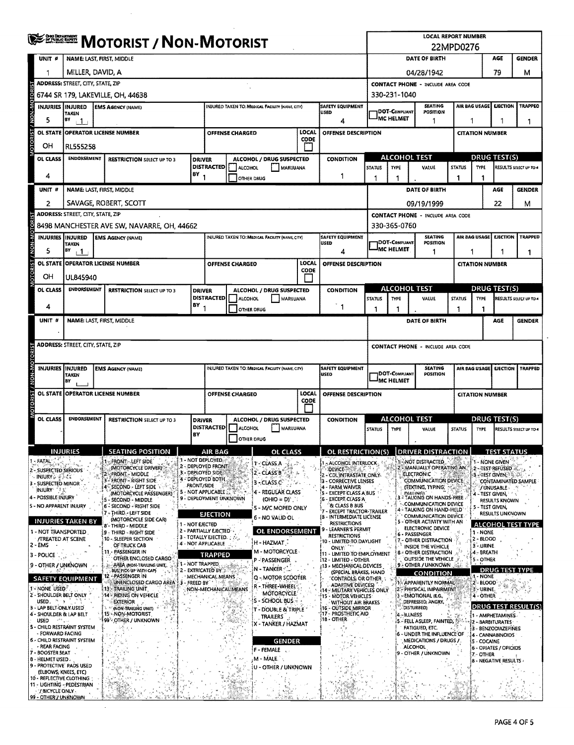|                                                                     | <b>ENEVER MOTORIST / NON-MOTORIST</b>           |                                                         |                     |                                                              |    |                                                 |                                                  |                      |                                                                                          | <b>LOCAL REPORT NUMBER</b><br>22MPD0276            |                             |                |                                                                |                                                                               |                          |                                         |                          |  |  |  |  |  |
|---------------------------------------------------------------------|-------------------------------------------------|---------------------------------------------------------|---------------------|--------------------------------------------------------------|----|-------------------------------------------------|--------------------------------------------------|----------------------|------------------------------------------------------------------------------------------|----------------------------------------------------|-----------------------------|----------------|----------------------------------------------------------------|-------------------------------------------------------------------------------|--------------------------|-----------------------------------------|--------------------------|--|--|--|--|--|
| UNIT <sup>#</sup>                                                   | NAME: LAST, FIRST, MIDDLE                       |                                                         |                     |                                                              |    |                                                 |                                                  |                      |                                                                                          |                                                    |                             |                | DATE OF BIRTH                                                  |                                                                               |                          | AGE                                     | <b>GENDER</b>            |  |  |  |  |  |
| 1                                                                   | MILLER, DAVID, A                                |                                                         |                     |                                                              |    |                                                 |                                                  |                      |                                                                                          |                                                    | 79<br>04/28/1942<br>м       |                |                                                                |                                                                               |                          |                                         |                          |  |  |  |  |  |
|                                                                     | <b>ADDRESS: STREET, CITY, STATE, ZIP</b>        |                                                         |                     |                                                              |    |                                                 |                                                  |                      |                                                                                          | <b>CONTACT PHONE - INCLUDE AREA CODE</b>           |                             |                |                                                                |                                                                               |                          |                                         |                          |  |  |  |  |  |
|                                                                     |                                                 | 6744 SR 179, LAKEVILLE, OH, 44638                       |                     |                                                              |    |                                                 |                                                  |                      |                                                                                          |                                                    | 330-231-1040                |                |                                                                |                                                                               |                          |                                         |                          |  |  |  |  |  |
| INJURIES IINJURED                                                   | TAKEN                                           | <b>EMS AGENCY (NAME)</b>                                |                     |                                                              |    | INJURED TAKEN TO: MEDICAL FACILITY (NAME, CITY) |                                                  |                      | <b>SAFETY EQUIPMENT</b><br>USED                                                          |                                                    | DOT-COMPLIANT               |                | <b>SEATING</b><br><b>POSITION</b>                              |                                                                               | AIR BAG USAGE            | <b>EJECTION</b>                         | <b>TRAPPEO</b>           |  |  |  |  |  |
| OTORIST / NON-MOTOR<br>5                                            | BY<br>$+1$                                      |                                                         |                     |                                                              |    |                                                 |                                                  |                      | 4                                                                                        |                                                    | <sup>I</sup> MC HELMET<br>1 |                |                                                                |                                                                               | 1                        | 1                                       |                          |  |  |  |  |  |
| <b>OL STATE</b>                                                     | <b>OPERATOR LICENSE NUMBER</b>                  |                                                         |                     | OFFENSE CHARGED                                              |    |                                                 |                                                  | <b>LOCAL</b><br>CODE | OFFENSE DESCRIPTION                                                                      |                                                    |                             |                |                                                                |                                                                               | <b>CITATION NUMBER</b>   |                                         |                          |  |  |  |  |  |
| OΗ                                                                  | <b>RL555258</b>                                 |                                                         |                     |                                                              |    |                                                 |                                                  |                      |                                                                                          |                                                    |                             |                |                                                                |                                                                               |                          |                                         |                          |  |  |  |  |  |
| OL CLASS                                                            | <b>ENDORSEMENT</b>                              | <b>RESTRICTION SELECT UP TO 3</b>                       | <b>DRIVER</b>       | <b>DISTRACTED</b>                                            |    | ALCOHOL / DRUG SUSPECTED                        |                                                  |                      | CONDITION                                                                                | <b>ALCOHOL TEST</b>                                |                             |                |                                                                |                                                                               |                          | DRUG TEST(S)                            |                          |  |  |  |  |  |
| 4                                                                   |                                                 |                                                         | $BY_1$              |                                                              |    | ALCOHOL<br><b>OTHER DRUG</b>                    | MARUUANA                                         |                      | 1                                                                                        | <b>STATUS</b>                                      | <b>TYPE</b>                 |                | VALUE                                                          | <b>STATUS</b><br>-1                                                           | <b>TYPE</b>              |                                         | RESULTS SELECT UP TO 4   |  |  |  |  |  |
| UNIT #                                                              | <b>NAME: LAST, FIRST, MIDDLE</b>                |                                                         |                     |                                                              |    |                                                 |                                                  |                      |                                                                                          |                                                    |                             |                | DATE OF BIRTH                                                  |                                                                               |                          | AGE                                     | <b>GENDER</b>            |  |  |  |  |  |
| 2                                                                   |                                                 | SAVAGE, ROBERT, SCOTT                                   |                     |                                                              |    |                                                 |                                                  |                      |                                                                                          |                                                    |                             |                | 09/19/1999                                                     |                                                                               |                          | 22                                      | М                        |  |  |  |  |  |
|                                                                     | <b>ADDRESS: STREET, CITY, STATE, ZIP</b>        |                                                         |                     |                                                              |    |                                                 |                                                  |                      |                                                                                          |                                                    |                             |                | <b>CONTACT PHONE - INCLUDE AREA CODE</b>                       |                                                                               |                          |                                         |                          |  |  |  |  |  |
|                                                                     |                                                 | 8498 MANCHESTER AVE SW, NAVARRE, OH, 44662              |                     |                                                              |    |                                                 |                                                  |                      |                                                                                          |                                                    | 330-365-0760                |                |                                                                |                                                                               |                          |                                         |                          |  |  |  |  |  |
| INJURIES IINJURED                                                   |                                                 | <b>EMS AGENCY (NAME)</b>                                |                     |                                                              |    | INJURED TAKEN TO: MEDICAL FACILITY (NAME CITY)  |                                                  |                      | <b>SAFETY EQUIPMENT</b><br>USED                                                          |                                                    | DOT-COMPLIANT               |                | <b>SEATING</b><br>POSITION                                     |                                                                               | AIR BAG USAGE            | <b>EJECTION</b>                         | <b>TRAPPED</b>           |  |  |  |  |  |
| 5                                                                   | TAKEN<br>$\mathbf{B}^{\mathbf{y}}$ $\mathbf{1}$ |                                                         |                     |                                                              |    |                                                 |                                                  |                      | 4                                                                                        |                                                    | <b>MC HELMET</b>            |                | 1                                                              | 1                                                                             |                          | 1                                       | 1                        |  |  |  |  |  |
|                                                                     | OL STATE OPERATOR LICENSE NUMBER                |                                                         |                     | <b>OFFENSE CHARGED</b>                                       |    |                                                 |                                                  | LOCAL                | OFFENSE DESCRIPTION                                                                      |                                                    |                             |                |                                                                |                                                                               | <b>CITATION NUMBER</b>   |                                         |                          |  |  |  |  |  |
| OTORIST / NON-MOTOR<br>OН                                           | UL845940                                        |                                                         |                     |                                                              |    |                                                 |                                                  | CODE                 |                                                                                          |                                                    |                             |                |                                                                |                                                                               |                          |                                         |                          |  |  |  |  |  |
| OL CLASS                                                            | <b>ENDORSEMENT</b>                              | <b>RESTRICTION SELECT UP TO 3</b>                       | <b>DRIVER</b>       |                                                              |    | ALCOHOL / DRUG SUSPECTED                        |                                                  |                      | <b>CONDITION</b>                                                                         |                                                    | ALCOHOL TEST                |                |                                                                |                                                                               |                          | <b>DRUG TEST(S)</b>                     |                          |  |  |  |  |  |
| 4                                                                   |                                                 |                                                         | 8Y                  | <b>DISTRACTED</b>                                            |    | <b>ALCOHOL</b>                                  | MARUUANA                                         |                      |                                                                                          | <b>STATUS</b>                                      | TYPE                        |                | VALUE                                                          | <b>STATUS</b>                                                                 | <b>TYPE</b>              |                                         | RESULTS SELECT UP TO 4   |  |  |  |  |  |
|                                                                     |                                                 |                                                         |                     |                                                              |    | <b>OTHER DRUG</b>                               |                                                  |                      | $\mathbf{1}$                                                                             | -1                                                 |                             |                |                                                                |                                                                               | 1                        |                                         |                          |  |  |  |  |  |
| UNIT #                                                              | <b>NAME: LAST, FIRST, MIDDLE</b>                |                                                         |                     |                                                              |    |                                                 |                                                  |                      |                                                                                          |                                                    |                             |                | DATE OF BIRTH                                                  |                                                                               |                          | AGE                                     | <b>GENDER</b>            |  |  |  |  |  |
|                                                                     | <b>ADDRESS: STREET, CITY, STATE, ZIP</b>        |                                                         |                     |                                                              |    |                                                 |                                                  |                      |                                                                                          |                                                    |                             |                |                                                                |                                                                               |                          |                                         |                          |  |  |  |  |  |
|                                                                     |                                                 |                                                         |                     |                                                              |    |                                                 |                                                  |                      |                                                                                          |                                                    |                             |                | <b>CONTACT PHONE - INCLUDE AREA CODE</b>                       |                                                                               |                          |                                         |                          |  |  |  |  |  |
| MOTORIST / NON-MOTORI<br><b>INJURIES IINJURED</b>                   | <b>TAKEN</b>                                    | <b>EMS AGENCY (NAME)</b>                                |                     |                                                              |    | INJURED TAKEN TO: MEDICAL FACILITY (NAME, CITY) |                                                  |                      | <b>SAFETY EQUIPMENT</b><br>USED                                                          | <b>SEATING</b><br>DOT-COMPLIANT<br><b>POSITION</b> |                             |                |                                                                |                                                                               | AIR BAG USAGE            | <b>EJECTION</b>                         | TRAPPED                  |  |  |  |  |  |
|                                                                     | BY                                              |                                                         |                     |                                                              |    |                                                 |                                                  |                      |                                                                                          | <b>IMC HELMET</b>                                  |                             |                |                                                                |                                                                               |                          |                                         |                          |  |  |  |  |  |
| <b>OL STATE</b>                                                     | <b>OPERATOR LICENSE NUMBER</b>                  |                                                         |                     | OFFENSE CHARGED                                              |    |                                                 |                                                  | LOCAL<br>CODE        | OFFENSE DESCRIPTION                                                                      |                                                    |                             |                |                                                                |                                                                               |                          | <b>CITATION NUMBER</b>                  |                          |  |  |  |  |  |
| OL CLASS                                                            | <b>ENDORSEMENT</b>                              | <b>RESTRICTION SELECT UP TO 3</b>                       | <b>DRIVER</b><br>BY | <b>DISTRACTED</b>                                            |    | ALCOHOL / DRUG SUSPECTED<br>ALCOHOL             | MARIJUANA                                        |                      | <b>CONDITION</b>                                                                         | <b>STATUS</b>                                      | <b>ALCOHOL TEST</b><br>TYPE |                | VALUE                                                          | <u>DRUG TEST(S)</u><br><b>STATUS</b><br>RESULTS SELECT UP TO 4<br><b>TYPE</b> |                          |                                         |                          |  |  |  |  |  |
|                                                                     |                                                 |                                                         |                     |                                                              |    | OTHER DRUG                                      |                                                  |                      |                                                                                          |                                                    |                             |                |                                                                |                                                                               |                          |                                         |                          |  |  |  |  |  |
|                                                                     | <b>INJURIES</b>                                 | <b>SEATING POSITION</b>                                 |                     | AIR BAG                                                      |    |                                                 | OL CLASS                                         |                      | OL RESTRICTION(S)                                                                        |                                                    |                             |                | <b>DRIVER DISTRACTION</b>                                      |                                                                               |                          | <b>TEST STATUS</b>                      |                          |  |  |  |  |  |
| - FATAL<br>2 - SUSPECTED SERIOUS                                    |                                                 | - FRONT: LEFT SIDE<br>(MOTORCYCLE DRIVER)               |                     | 1 - NOT DEPLOYED.<br>2 - DEPLOYED FRONT<br>3 - DEPLOYED SIDE |    | 1 CLASS A<br>2 - CLASS B                        |                                                  |                      | - ALCOHOL INTERLOCK<br><b>DEVICE</b>                                                     |                                                    |                             |                | 1- NOT DISTRACTED<br><b>MANUALLY OPERATING AN</b>              |                                                                               |                          | 1 - NONE GIVEN<br>2-Jest Refüsed        |                          |  |  |  |  |  |
| INJURY & FACT<br>3 - SUSPECTED MINOR                                |                                                 | FRONT - MIDDLE<br>FRONT - RIGHT SIDE                    | <b>FRONT/SIDE</b>   | 4 - DEPLOYED BOTH                                            |    | 3-CLASS.C                                       |                                                  |                      | 2 - CDL INTRASTATE ONLY-<br>13 - CORRECTIVE LENSES                                       |                                                    |                             |                | <b>ELECTRONIC</b><br>COMMUNICATION DEVICE                      |                                                                               |                          | <b>3 - TEST GIVEN 15 4 15 16</b>        | CONTAMINATED SAMPLE      |  |  |  |  |  |
| INJURY 25<br>4 - POSSIBLE INJURY                                    |                                                 | 4 SECOND - LEFT SIDE<br>(MOTORCYCLE PASSENGER)          |                     | 5 - NOT APPLICABLE<br>9 - DEPLOYMENT UNKNOWN                 |    |                                                 | 4 - REGULAR CLASS                                |                      | 4 - FARM WAIVER<br>5 - EXCEPT CLASS A BUS                                                |                                                    |                             | DIALINGL.      | (TEXTING, TYPING)<br>- TALKING ON HANDS-FREE                   |                                                                               |                          | /UNUSABLE<br>4 - TEST GIVEN,            |                          |  |  |  |  |  |
| 5 - NO APPARENT INJURY                                              |                                                 | - SECOND - MIDDLE<br>6 <sup>2</sup> SECOND - RIGHT SIDE |                     |                                                              |    |                                                 | $(OHIO = D)$<br>5 - M/C MOPED ONLY               |                      | (6 - EXCEPT: CLASS A<br><b>&amp; CLASS B BUS</b>                                         |                                                    |                             |                | <b>COMMUNICATION DEVICE</b><br>4 - TALKING ON HAND-HELD        |                                                                               |                          | RESULTS KNOWN<br>5 - TEST GIVEN,        |                          |  |  |  |  |  |
|                                                                     | <b>INJURIES TAKEN BY</b>                        | 7-THIRD-LEFT SIDE<br>(MOTORCYCLE SIDE CAR)              |                     | <b>EJECTION</b>                                              |    |                                                 | 6 - NO VALID OL                                  |                      | <b>EXCEPT TRACTOR-TRAILER</b><br><b>{B - INTERMEDIATE LICENSE</b><br><b>RESTRICTIONS</b> |                                                    |                             |                | <b>COMMUNICATION DEVICE</b><br>5 - OTHER ACTIVITY WITH AN      |                                                                               |                          | <b>RESULTS UNKNOWN</b>                  |                          |  |  |  |  |  |
| 1 - NOT TRANSPORTED                                                 |                                                 | 8'- THIRD - MIDDLE<br>19 - THIRD - RIGHT SIDE           | 1 - NOT EJECTED     | 2 - PARTIALLY EJECTED --                                     |    |                                                 | OL ENDORSEMENT                                   |                      | LEARNER'S PERMIT<br>9<br><b>RESTRICTIONS</b>                                             |                                                    |                             |                | ELECTRONIC DEVICE<br>6 - PASSENGER                             |                                                                               | 1 - NONE                 |                                         | <b>ALCOHOL TEST TYPE</b> |  |  |  |  |  |
| <b>/TREATED AT SCENE</b><br>$2 - EMS$                               |                                                 | 10 - SLEEPER SECTION<br>OF TRUCK CAB                    |                     | 3 - TOTALLY EJECTED. 2002<br>4' - NOT APPLICABLE             |    | H - HAZMAT                                      |                                                  |                      | 10 - LIMITED TO DAYLIGHT<br><b>ONLY</b>                                                  |                                                    |                             |                | - OTHER DISTRACTION<br>INSIDE THE VEHICLE                      |                                                                               | $2 - BLOOD$<br>3 - URINE |                                         |                          |  |  |  |  |  |
| 3 - POLICE                                                          |                                                 | 11 - PASSENGER IN<br>OTHER ENCLOSED CARGO               |                     | <b>TRAPPED</b>                                               |    | P - PASSENGER                                   | M - MOTORCYCLE                                   |                      | 11 - LIMITED TO EMPLOYMENT<br><b>12 - LIMITED - OTHER</b>                                |                                                    |                             |                | 8 - OTHER DISTRACTION<br>OUTSIDE THE VEHICLE                   |                                                                               | 4 - BREATH<br>5 - OTHER  |                                         |                          |  |  |  |  |  |
| 9 - OTHER / UNKNOWN                                                 |                                                 | AREA (NON-TRAILING UNIT,<br>BUS, PICK-UP WITH CAPY      | 1 - NOT TRAPPED     | 2 - EXTRICATED BY                                            |    | N - TANKER                                      |                                                  |                      | :13 - MECHANICAL DEVICES<br>(SPECIAL BRAKES, HAND                                        |                                                    |                             |                | <b>9-OTHER / UNKNOWN</b>                                       | - 82                                                                          |                          | <b>DRUG TEST TYPE</b>                   |                          |  |  |  |  |  |
|                                                                     | <b>SAFETY EQUIPMENT</b>                         | <b>PASSENGER IN</b><br>12<br>UNENCLOSED CARGO AREA      | FREED BY            | MECHANICAL MEANS                                             |    |                                                 | Q - MOTOR SCOOTER                                |                      | <b>CONTROLS; OR OTHER: 1</b><br><b>ADAPTIVE DEVICES)</b>                                 |                                                    |                             |                | <b>CONDITION</b><br>14 APPARENTLY NORMAL                       |                                                                               | 1 - NONE<br>2 - BLOOD    |                                         |                          |  |  |  |  |  |
| 1 - NONE USED<br>2 - SHOULDER BELT ONLY                             |                                                 | <b>13 - TRAILING UNIT</b><br>14 - RIDING ON VEHICLE     |                     | NON-MECHANICAL MEANS                                         |    |                                                 | R - THREE-WHEEL<br><b>MOTORCYCLE</b>             |                      | 14 - MILITARY VEHICLES ONLY<br>15 - MOTOR VEHICLES                                       |                                                    |                             |                | 2 - PHYSICAL IMPAIRMENT<br>-EMOTIONAL (E.G.,                   |                                                                               | 3 - URINE.<br>4 - OTHER  |                                         |                          |  |  |  |  |  |
| USED, 2013<br>3 - LAP BELT ONLY USED                                |                                                 | EXTERIOR<br>(NON-TRAILING UNIT)                         |                     |                                                              |    |                                                 | S - SCHOOL BUS<br><b>T - DOUBLE &amp; TRIPLE</b> |                      | WITHOUT AIR BRAKES<br>16 - OUTSIDE MIRROR                                                |                                                    |                             | DISTURBED)     | DEPRESSED, ANGRY,                                              |                                                                               |                          |                                         | DRUG TEST RESULT(S)      |  |  |  |  |  |
| 4 - SHOULDER & LAP BELT<br><b>USED</b><br>ن معا                     |                                                 | 15 - NON-MOTORIST<br>99 COTHER / UNKNOWN                |                     |                                                              | L. | TRAILERS                                        |                                                  |                      | 17 - PROSTHETIC AID<br>18 - OTHER                                                        |                                                    |                             | 4 - ILLNESS    | $\boldsymbol{\beta}$ - Fell asleep, fainted, $\mathbb{S}^{10}$ |                                                                               |                          | 1 - AMPHETAMINES<br>2 - BARBITURATES    |                          |  |  |  |  |  |
| 5 - CHILD RESTRAINT SYSTEM<br>- FORWARD FACING                      |                                                 |                                                         |                     |                                                              |    |                                                 | X - TANKER / HAZMAT                              |                      |                                                                                          |                                                    |                             |                | <b>FATIGUED, ETC.</b><br>6 - UNDER THE INFLUENCE OF            |                                                                               |                          | 3 - BENZODIAZEPINES<br>4 - CANNABINOIDS |                          |  |  |  |  |  |
| <b>6 - CHILD RESTRAINT SYSTEM</b><br>- REAR FACING                  |                                                 |                                                         |                     |                                                              |    |                                                 | <b>GENDER</b>                                    |                      |                                                                                          |                                                    |                             | <b>ALCOHOL</b> | MEDICATIONS / DRUGS /                                          |                                                                               | 5 - COCAINE              |                                         |                          |  |  |  |  |  |
| 7 - BOOSTER SEAT<br>8 - HELMET USED                                 |                                                 |                                                         |                     |                                                              |    | $F$ - FEMALE $\sim$<br>M - MALE                 |                                                  |                      |                                                                                          |                                                    |                             |                | - OTHER / UNKNOWN                                              |                                                                               | 7. - OTHER               | 6 - OPIATES / OPIOIDS                   |                          |  |  |  |  |  |
| 9 - PROTECTIVE' PADS USED                                           |                                                 |                                                         |                     |                                                              |    |                                                 | U - OTHER / UNKNOWN                              |                      |                                                                                          |                                                    |                             |                |                                                                |                                                                               |                          | 8 - NEGATIVE RESULTS                    |                          |  |  |  |  |  |
| (ELBOWS, KNEES, ETC)<br>10 - REFLECTIVE CLOTHING                    |                                                 |                                                         |                     |                                                              |    |                                                 |                                                  |                      |                                                                                          |                                                    |                             |                |                                                                |                                                                               |                          |                                         |                          |  |  |  |  |  |
| 11 - UGHTING - PEDESTRIAN<br>/ BICYCLE ONLY<br>99 - OTHER / UNKNOWN |                                                 |                                                         |                     |                                                              |    |                                                 |                                                  |                      |                                                                                          |                                                    |                             |                |                                                                |                                                                               |                          |                                         |                          |  |  |  |  |  |

 $\mathcal{A}^{\prime}$ 

 $\sim$ 

Ċ,